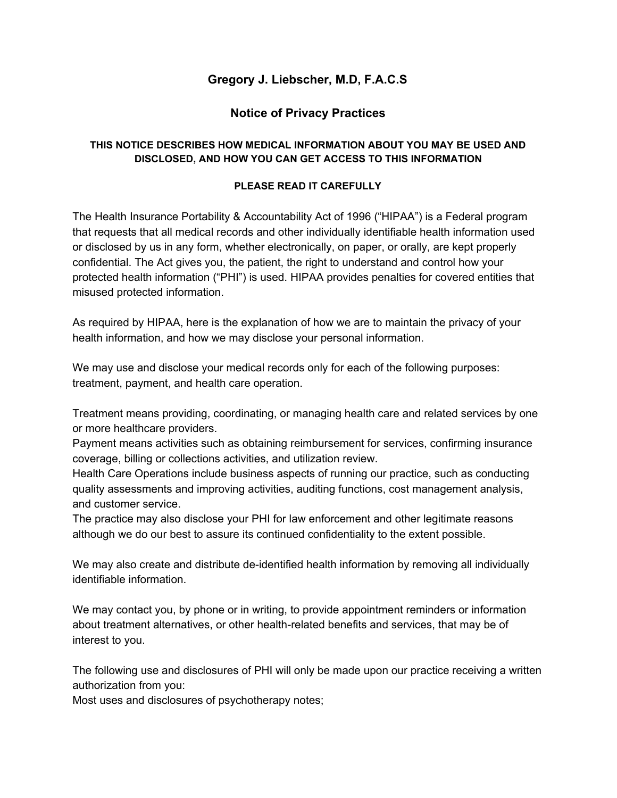## **Gregory J. Liebscher, M.D, F.A.C.S**

## **Notice of Privacy Practices**

## **THIS NOTICE DESCRIBES HOW MEDICAL INFORMATION ABOUT YOU MAY BE USED AND DISCLOSED, AND HOW YOU CAN GET ACCESS TO THIS INFORMATION**

## **PLEASE READ IT CAREFULLY**

The Health Insurance Portability & Accountability Act of 1996 ("HIPAA") is a Federal program that requests that all medical records and other individually identifiable health information used or disclosed by us in any form, whether electronically, on paper, or orally, are kept properly confidential. The Act gives you, the patient, the right to understand and control how your protected health information ("PHI") is used. HIPAA provides penalties for covered entities that misused protected information.

As required by HIPAA, here is the explanation of how we are to maintain the privacy of your health information, and how we may disclose your personal information.

We may use and disclose your medical records only for each of the following purposes: treatment, payment, and health care operation.

Treatment means providing, coordinating, or managing health care and related services by one or more healthcare providers.

Payment means activities such as obtaining reimbursement for services, confirming insurance coverage, billing or collections activities, and utilization review.

Health Care Operations include business aspects of running our practice, such as conducting quality assessments and improving activities, auditing functions, cost management analysis, and customer service.

The practice may also disclose your PHI for law enforcement and other legitimate reasons although we do our best to assure its continued confidentiality to the extent possible.

We may also create and distribute de-identified health information by removing all individually identifiable information.

We may contact you, by phone or in writing, to provide appointment reminders or information about treatment alternatives, or other health-related benefits and services, that may be of interest to you.

The following use and disclosures of PHI will only be made upon our practice receiving a written authorization from you:

Most uses and disclosures of psychotherapy notes;